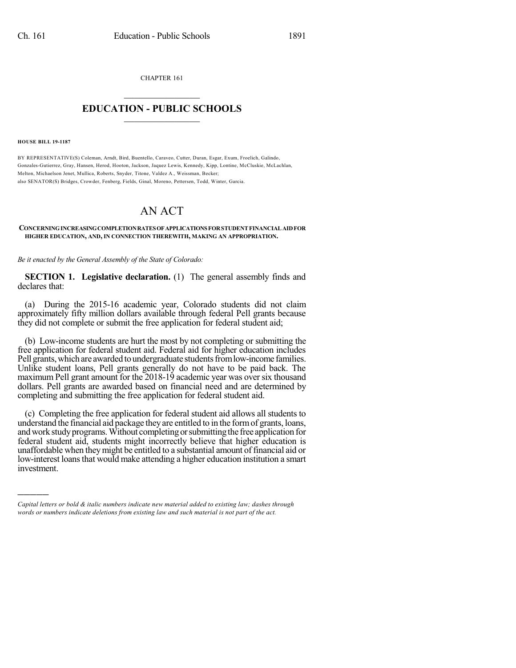CHAPTER 161

## $\overline{\phantom{a}}$  . The set of the set of the set of the set of the set of the set of the set of the set of the set of the set of the set of the set of the set of the set of the set of the set of the set of the set of the set o **EDUCATION - PUBLIC SCHOOLS**  $\_$   $\_$   $\_$   $\_$   $\_$   $\_$   $\_$   $\_$   $\_$

**HOUSE BILL 19-1187**

)))))

BY REPRESENTATIVE(S) Coleman, Arndt, Bird, Buentello, Caraveo, Cutter, Duran, Esgar, Exum, Froelich, Galindo, Gonzales-Gutierrez, Gray, Hansen, Herod, Hooton, Jackson, Jaquez Lewis, Kennedy, Kipp, Lontine, McCluskie, McLachlan, Melton, Michaelson Jenet, Mullica, Roberts, Snyder, Titone, Valdez A., Weissman, Becker; also SENATOR(S) Bridges, Crowder, Fenberg, Fields, Ginal, Moreno, Pettersen, Todd, Winter, Garcia.

## AN ACT

## **CONCERNINGINCREASINGCOMPLETIONRATESOFAPPLICATIONSFORSTUDENTFINANCIALAIDFOR HIGHER EDUCATION, AND, IN CONNECTION THEREWITH, MAKING AN APPROPRIATION.**

*Be it enacted by the General Assembly of the State of Colorado:*

**SECTION 1. Legislative declaration.** (1) The general assembly finds and declares that:

(a) During the 2015-16 academic year, Colorado students did not claim approximately fifty million dollars available through federal Pell grants because they did not complete or submit the free application for federal student aid;

(b) Low-income students are hurt the most by not completing or submitting the free application for federal student aid. Federal aid for higher education includes Pell grants, which are awarded to undergraduate students from low-income families. Unlike student loans, Pell grants generally do not have to be paid back. The maximum Pell grant amount for the 2018-19 academic year was over six thousand dollars. Pell grants are awarded based on financial need and are determined by completing and submitting the free application for federal student aid.

(c) Completing the free application for federal student aid allows all students to understand the financial aid package they are entitled to in the form of grants, loans, and work study programs. Without completing or submitting the free application for federal student aid, students might incorrectly believe that higher education is unaffordable when they might be entitled to a substantial amount of financial aid or low-interest loans that would make attending a higher education institution a smart investment.

*Capital letters or bold & italic numbers indicate new material added to existing law; dashes through words or numbers indicate deletions from existing law and such material is not part of the act.*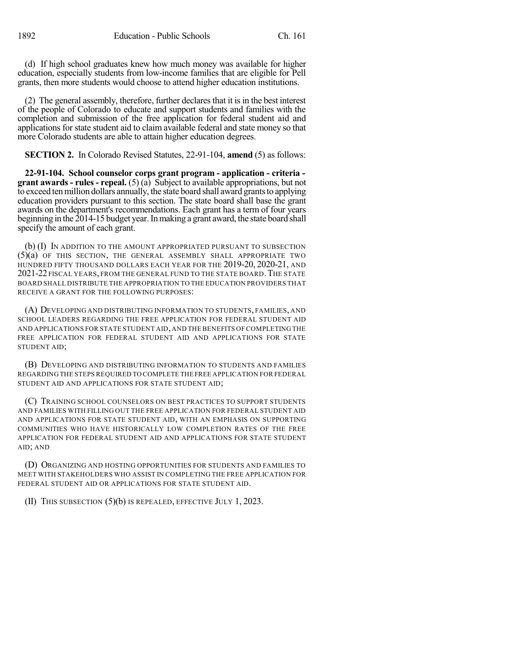(d) If high school graduates knew how much money was available for higher education, especially students from low-income families that are eligible for Pell grants, then more students would choose to attend higher education institutions.

(2) The general assembly, therefore, further declaresthat it isin the best interest of the people of Colorado to educate and support students and families with the completion and submission of the free application for federal student aid and applications for state student aid to claim available federal and state money so that more Colorado students are able to attain higher education degrees.

**SECTION 2.** In Colorado Revised Statutes, 22-91-104, **amend** (5) as follows:

**22-91-104. School counselor corps grant program - application - criteria grant awards - rules - repeal.** (5) (a) Subject to available appropriations, but not to exceed ten million dollars annually, the state board shall award grants to applying education providers pursuant to this section. The state board shall base the grant awards on the department's recommendations. Each grant has a term of four years beginning in the 2014-15 budget year. In making a grant award, the state board shall specify the amount of each grant.

(b) (I) IN ADDITION TO THE AMOUNT APPROPRIATED PURSUANT TO SUBSECTION (5)(a) OF THIS SECTION, THE GENERAL ASSEMBLY SHALL APPROPRIATE TWO HUNDRED FIFTY THOUSAND DOLLARS EACH YEAR FOR THE 2019-20, 2020-21, AND 2021-22 FISCAL YEARS, FROM THE GENERAL FUND TO THE STATE BOARD. THE STATE BOARD SHALL DISTRIBUTE THE APPROPRIATION TO THE EDUCATION PROVIDERS THAT RECEIVE A GRANT FOR THE FOLLOWING PURPOSES:

(A) DEVELOPING AND DISTRIBUTING INFORMATION TO STUDENTS, FAMILIES, AND SCHOOL LEADERS REGARDING THE FREE APPLICATION FOR FEDERAL STUDENT AID AND APPLICATIONS FOR STATE STUDENT AID,AND THE BENEFITS OF COMPLETING THE FREE APPLICATION FOR FEDERAL STUDENT AID AND APPLICATIONS FOR STATE STUDENT AID;

(B) DEVELOPING AND DISTRIBUTING INFORMATION TO STUDENTS AND FAMILIES REGARDING THE STEPS REQUIRED TO COMPLETE THE FREE APPLICATION FOR FEDERAL STUDENT AID AND APPLICATIONS FOR STATE STUDENT AID;

(C) TRAINING SCHOOL COUNSELORS ON BEST PRACTICES TO SUPPORT STUDENTS AND FAMILIES WITH FILLING OUT THE FREE APPLICATION FOR FEDERAL STUDENT AID AND APPLICATIONS FOR STATE STUDENT AID, WITH AN EMPHASIS ON SUPPORTING COMMUNITIES WHO HAVE HISTORICALLY LOW COMPLETION RATES OF THE FREE APPLICATION FOR FEDERAL STUDENT AID AND APPLICATIONS FOR STATE STUDENT AID; AND

(D) ORGANIZING AND HOSTING OPPORTUNITIES FOR STUDENTS AND FAMILIES TO MEET WITH STAKEHOLDERS WHO ASSIST IN COMPLETING THE FREE APPLICATION FOR FEDERAL STUDENT AID OR APPLICATIONS FOR STATE STUDENT AID.

(II) THIS SUBSECTION (5)(b) IS REPEALED, EFFECTIVE JULY 1, 2023.